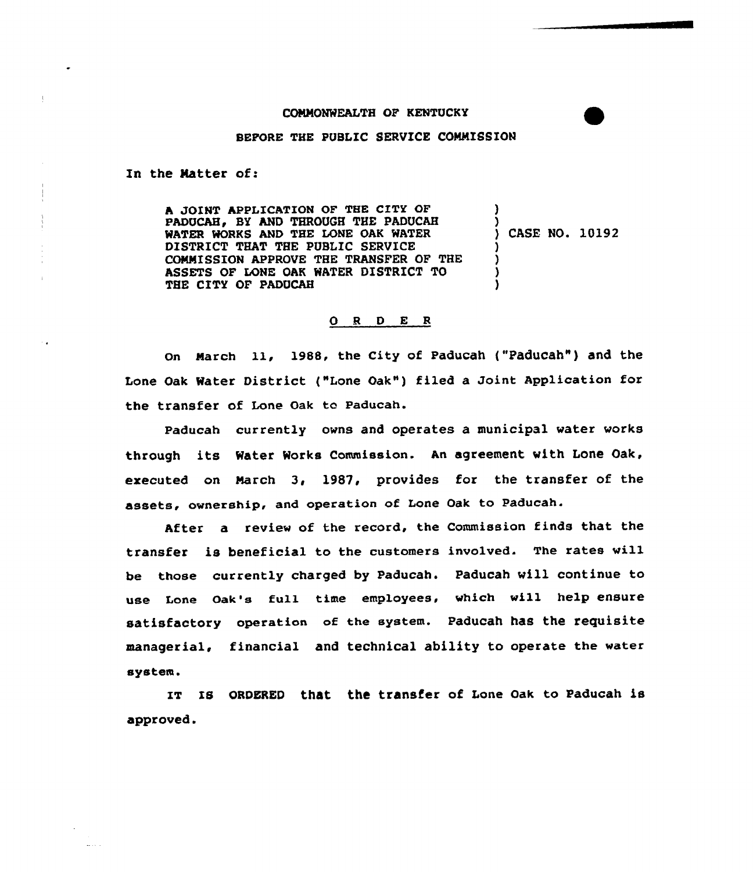## COMMONWEALTH OF KENTUCKY

## BEFORE THE PUBLIC SERVICE COMMISSION

In the Ratter of:

**Address** 

h JOINT APPLICATION OF THE CITY OF PADUCAH, BY AND THROUGH THE PADUCAH WATER WORKS AND THE LONE OAK WATER DISTRICT THAT THE PUBLIC SERVICE COMMISSION APPROVE THE TRANSFER OF THE ASSETS OF LONE OAK WATER DISTRICT TO THE CITY OF PADUCAH ) ) ) CASE NO. 10192 ) ) ) )

## 0 <sup>R</sup> <sup>D</sup> E <sup>R</sup>

on March ll, 1988, the city of Paducah ("Paducah") and the Lone oak water District ("Lone oak") filed <sup>a</sup> Joint Application for the transfer of Lone Oak to Paducah.

Paducah currently owns and operates a municipal water vorks through its Water Works Commission. An agreement with Lone Oak, ezecuted on March 3, 1987, provides for the transfer of the assets, ownership, and operation of Lone Oak to Paducah.

After a review of the record, the Commission finds that the transfer is beneficial to the customers involved. The rates will be those currently charged by Paducah. Paducah will continue to use Lone Oak'a full time employees, which will help ensure satisfactory operation of the system. Paducah has the requisite managerial, financial and technical ability to operate the water system.

IT IS ORDERED that the transfer of Lone Oak to Paducah is approved.